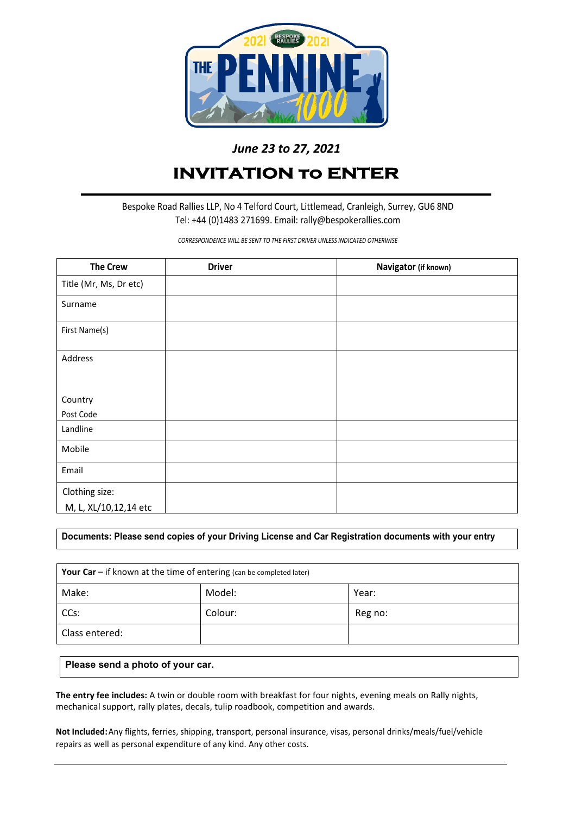

# *June 23 to 27, 2021*

# **INVITATION to ENTER**

Bespoke Road Rallies LLP, No 4 Telford Court, Littlemead, Cranleigh, Surrey, GU6 8ND Tel: +44 (0)1483 271699. Email: rally@bespokerallies.com

*CORRESPONDENCE WILL BE SENT TO THE FIRST DRIVER UNLESS INDICATED OTHERWISE*

| <b>The Crew</b>        | <b>Driver</b> | Navigator (if known) |
|------------------------|---------------|----------------------|
| Title (Mr, Ms, Dr etc) |               |                      |
| Surname                |               |                      |
| First Name(s)          |               |                      |
| Address                |               |                      |
|                        |               |                      |
| Country                |               |                      |
| Post Code              |               |                      |
| Landline               |               |                      |
| Mobile                 |               |                      |
| Email                  |               |                      |
| Clothing size:         |               |                      |
| M, L, XL/10,12,14 etc  |               |                      |

**Documents: Please send copies of your Driving License and Car Registration documents with your entry**

| Your Car $-$ if known at the time of entering (can be completed later) |         |         |  |  |
|------------------------------------------------------------------------|---------|---------|--|--|
| Make:                                                                  | Model:  | Year:   |  |  |
| CCs:                                                                   | Colour: | Reg no: |  |  |
| Class entered:                                                         |         |         |  |  |

## **Please send a photo of your car.**

**The entry fee includes:** A twin or double room with breakfast for four nights, evening meals on Rally nights, mechanical support, rally plates, decals, tulip roadbook, competition and awards.

**Not Included:**Any flights, ferries, shipping, transport, personal insurance, visas, personal drinks/meals/fuel/vehicle repairs as well as personal expenditure of any kind. Any other costs.